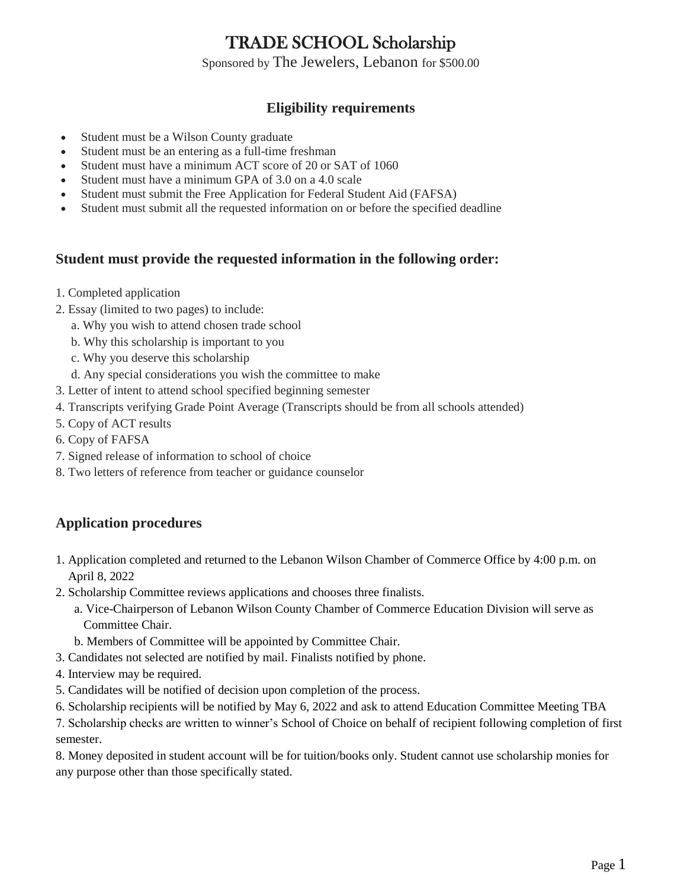## TRADE SCHOOL Scholarship

Sponsored by The Jewelers, Lebanon for \$500.00

### **Eligibility requirements**

- Student must be a Wilson County graduate
- Student must be an entering as a full-time freshman
- Student must have a minimum ACT score of 20 or SAT of 1060
- Student must have a minimum GPA of 3.0 on a 4.0 scale
- Student must submit the Free Application for Federal Student Aid (FAFSA)
- Student must submit all the requested information on or before the specified deadline

#### **Student must provide the requested information in the following order:**

- 1. Completed application
- 2. Essay (limited to two pages) to include:
	- a. Why you wish to attend chosen trade school
	- b. Why this scholarship is important to you
	- c. Why you deserve this scholarship
	- d. Any special considerations you wish the committee to make
- 3. Letter of intent to attend school specified beginning semester
- 4. Transcripts verifying Grade Point Average (Transcripts should be from all schools attended)
- 5. Copy of ACT results
- 6. Copy of FAFSA
- 7. Signed release of information to school of choice
- 8. Two letters of reference from teacher or guidance counselor

#### **Application procedures**

- 1. Application completed and returned to the Lebanon Wilson Chamber of Commerce Office by 4:00 p.m. on April 8, 2022
- 2. Scholarship Committee reviews applications and chooses three finalists.
	- a. Vice-Chairperson of Lebanon Wilson County Chamber of Commerce Education Division will serve as Committee Chair.
	- b. Members of Committee will be appointed by Committee Chair.
- 3. Candidates not selected are notified by mail. Finalists notified by phone.
- 4. Interview may be required.
- 5. Candidates will be notified of decision upon completion of the process.
- 6. Scholarship recipients will be notified by May 6, 2022 and ask to attend Education Committee Meeting TBA

7. Scholarship checks are written to winner's School of Choice on behalf of recipient following completion of first semester.

8. Money deposited in student account will be for tuition/books only. Student cannot use scholarship monies for any purpose other than those specifically stated.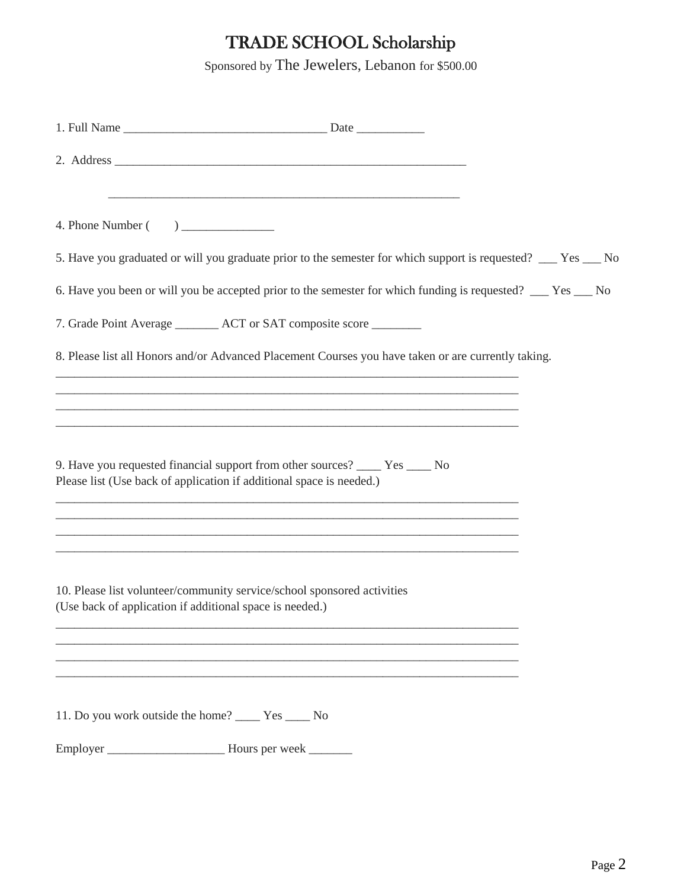# TRADE SCHOOL Scholarship

Sponsored by The Jewelers, Lebanon for \$500.00

| 5. Have you graduated or will you graduate prior to the semester for which support is requested? __ Yes __ No                                                                                                                                                                    |  |
|----------------------------------------------------------------------------------------------------------------------------------------------------------------------------------------------------------------------------------------------------------------------------------|--|
| 6. Have you been or will you be accepted prior to the semester for which funding is requested? __ Yes __ No                                                                                                                                                                      |  |
| 7. Grade Point Average ________ ACT or SAT composite score ________                                                                                                                                                                                                              |  |
| 8. Please list all Honors and/or Advanced Placement Courses you have taken or are currently taking.                                                                                                                                                                              |  |
|                                                                                                                                                                                                                                                                                  |  |
| 9. Have you requested financial support from other sources? ______ Yes _____ No<br>Please list (Use back of application if additional space is needed.)<br><u> 1989 - Johann Harry Harry Harry Harry Harry Harry Harry Harry Harry Harry Harry Harry Harry Harry Harry Harry</u> |  |
| <u> 1989 - Johann Harry Harry Harry Harry Harry Harry Harry Harry Harry Harry Harry Harry Harry Harry Harry Harry</u><br>10. Please list volunteer/community service/school sponsored activities<br>(Use back of application if additional space is needed.)                     |  |
|                                                                                                                                                                                                                                                                                  |  |
| 11. Do you work outside the home? ________ Yes _______ No                                                                                                                                                                                                                        |  |
|                                                                                                                                                                                                                                                                                  |  |